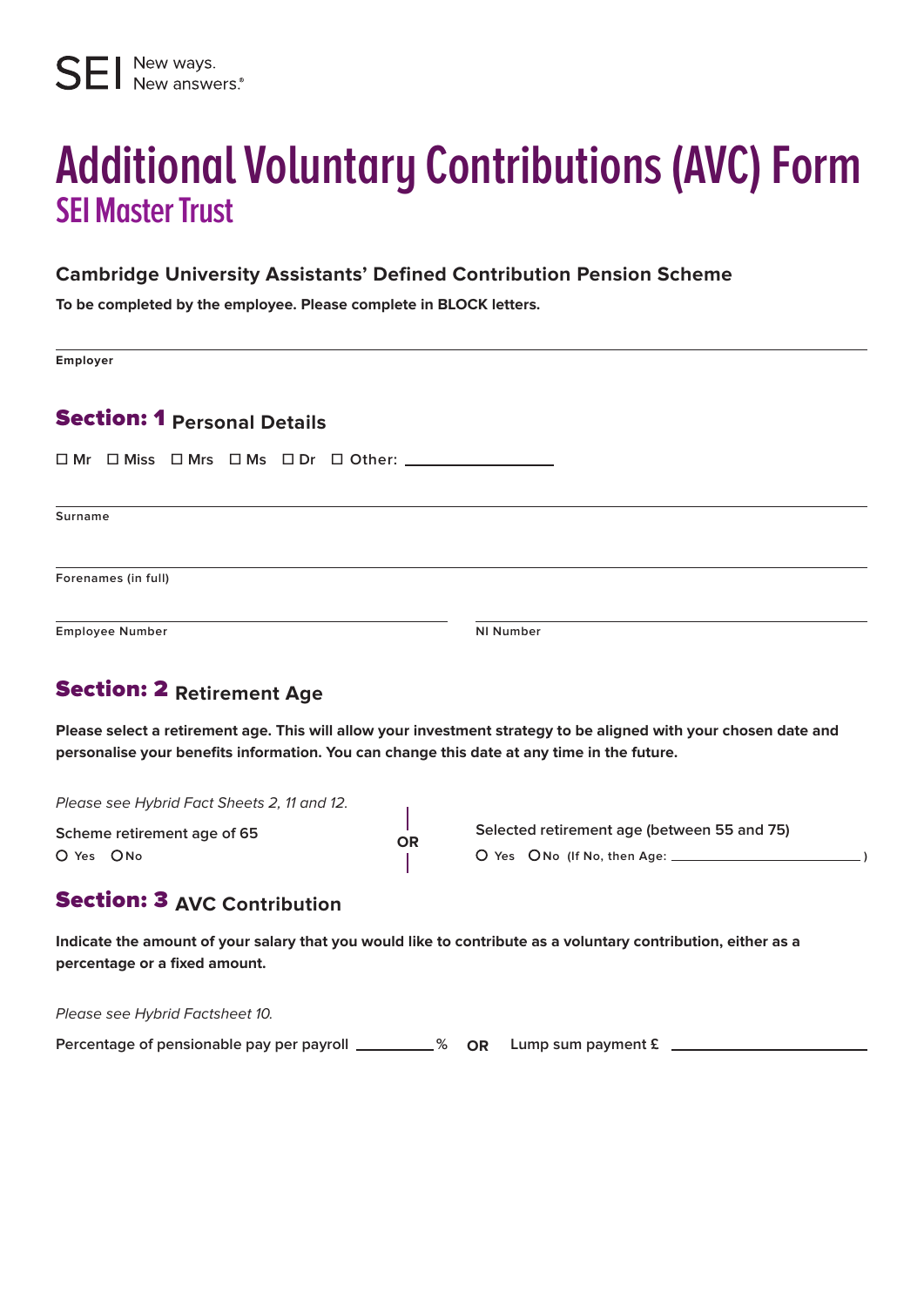# **Additional Voluntary Contributions (AVC) Form SEI Master Trust**

#### **Cambridge University Assistants' Defined Contribution Pension Scheme**

**To be completed by the employee. Please complete in BLOCK letters.**

**Employer**

### Section: 1 **Personal Details**

**☐ Mr ☐ Miss ☐ Mrs ☐ Ms ☐ Dr ☐ Other:** 

**Surname**

**Forenames (in full)**

**Employee Number NI Number**

# Section: 2 **Retirement Age**

**Please select a retirement age. This will allow your investment strategy to be aligned with your chosen date and personalise your benefits information. You can change this date at any time in the future.**

Please see Hybrid Fact Sheets 2, 11 and 12.

**Scheme retirement age of 65**  $O$  Yes  $O$  No

**Selected retirement age (between 55 and 75) Yes No (If No, then Age: )** 

## Section: 3 **AVC Contribution**

**Indicate the amount of your salary that you would like to contribute as a voluntary contribution, either as a percentage or a fixed amount.**

**OR**

Please see Hybrid Factsheet 10.

**Percentage of pensionable pay per payroll \_\_\_\_\_\_\_\_\_% OR Lump sum payment £**